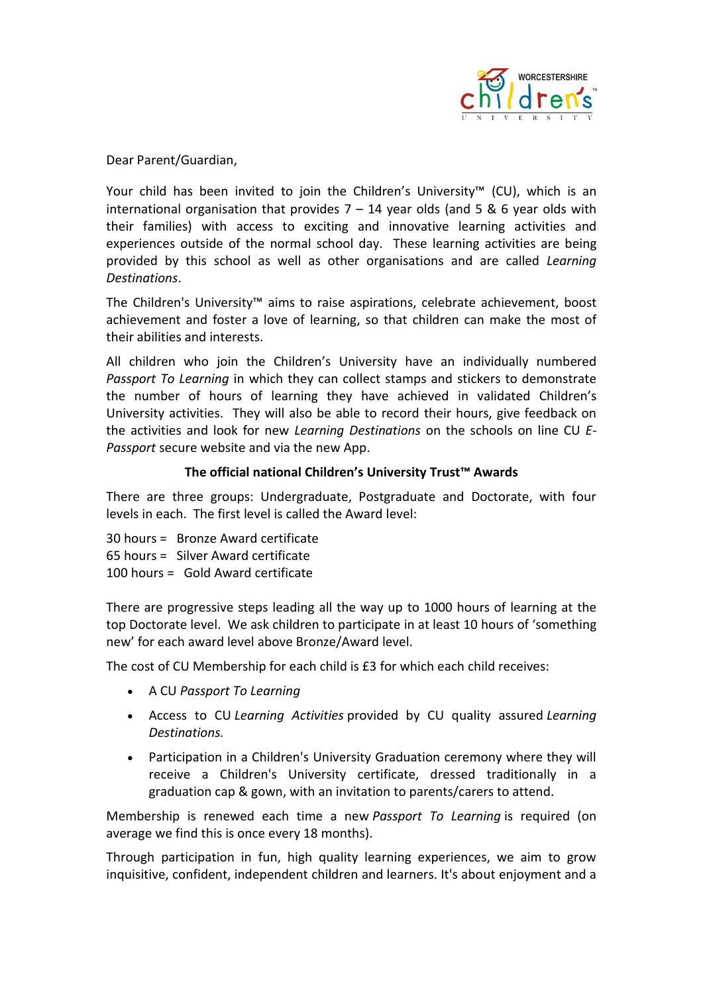

Dear Parent/Guardian,

Your child has been invited to join the Children's University™ (CU), which is an international organisation that provides  $7 - 14$  year olds (and 5 & 6 year olds with their families) with access to exciting and innovative learning activities and experiences outside of the normal school day. These learning activities are being provided by this school as well as other organisations and are called *Learning Destinations*.

The Children's University™ aims to raise aspirations, celebrate achievement, boost achievement and foster a love of learning, so that children can make the most of their abilities and interests.

All children who join the Children's University have an individually numbered *Passport To Learning* in which they can collect stamps and stickers to demonstrate the number of hours of learning they have achieved in validated Children's University activities. They will also be able to record their hours, give feedback on the activities and look for new *Learning Destinations* on the schools on line CU *E-Passport* secure website and via the new App.

## **The official national Children's University Trust™ Awards**

There are three groups: Undergraduate, Postgraduate and Doctorate, with four levels in each. The first level is called the Award level:

30 hours = Bronze Award certificate 65 hours = Silver Award certificate 100 hours = Gold Award certificate

There are progressive steps leading all the way up to 1000 hours of learning at the top Doctorate level. We ask children to participate in at least 10 hours of 'something new' for each award level above Bronze/Award level.

The cost of CU Membership for each child is £3 for which each child receives:

- A CU *Passport To Learning*
- Access to CU *Learning Activities* provided by CU quality assured *Learning Destinations.*
- Participation in a Children's University Graduation ceremony where they will receive a Children's University certificate, dressed traditionally in a graduation cap & gown, with an invitation to parents/carers to attend.

Membership is renewed each time a new *Passport To Learning* is required (on average we find this is once every 18 months).

Through participation in fun, high quality learning experiences, we aim to grow inquisitive, confident, independent children and learners. It's about enjoyment and a